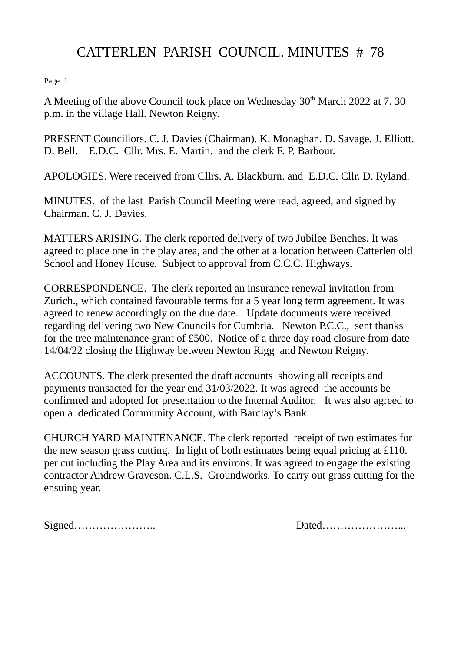## CATTERLEN PARISH COUNCIL. MINUTES # 78

Page .1.

A Meeting of the above Council took place on Wednesday 30<sup>th</sup> March 2022 at 7, 30 p.m. in the village Hall. Newton Reigny.

PRESENT Councillors. C. J. Davies (Chairman). K. Monaghan. D. Savage. J. Elliott. D. Bell. E.D.C. Cllr. Mrs. E. Martin. and the clerk F. P. Barbour.

APOLOGIES. Were received from Cllrs. A. Blackburn. and E.D.C. Cllr. D. Ryland.

MINUTES. of the last Parish Council Meeting were read, agreed, and signed by Chairman. C. J. Davies.

MATTERS ARISING. The clerk reported delivery of two Jubilee Benches. It was agreed to place one in the play area, and the other at a location between Catterlen old School and Honey House. Subject to approval from C.C.C. Highways.

CORRESPONDENCE. The clerk reported an insurance renewal invitation from Zurich., which contained favourable terms for a 5 year long term agreement. It was agreed to renew accordingly on the due date. Update documents were received regarding delivering two New Councils for Cumbria. Newton P.C.C., sent thanks for the tree maintenance grant of £500. Notice of a three day road closure from date 14/04/22 closing the Highway between Newton Rigg and Newton Reigny.

ACCOUNTS. The clerk presented the draft accounts showing all receipts and payments transacted for the year end 31/03/2022. It was agreed the accounts be confirmed and adopted for presentation to the Internal Auditor. It was also agreed to open a dedicated Community Account, with Barclay's Bank.

CHURCH YARD MAINTENANCE. The clerk reported receipt of two estimates for the new season grass cutting. In light of both estimates being equal pricing at £110. per cut including the Play Area and its environs. It was agreed to engage the existing contractor Andrew Graveson. C.L.S. Groundworks. To carry out grass cutting for the ensuing year.

Signed………………….. Dated…………………...